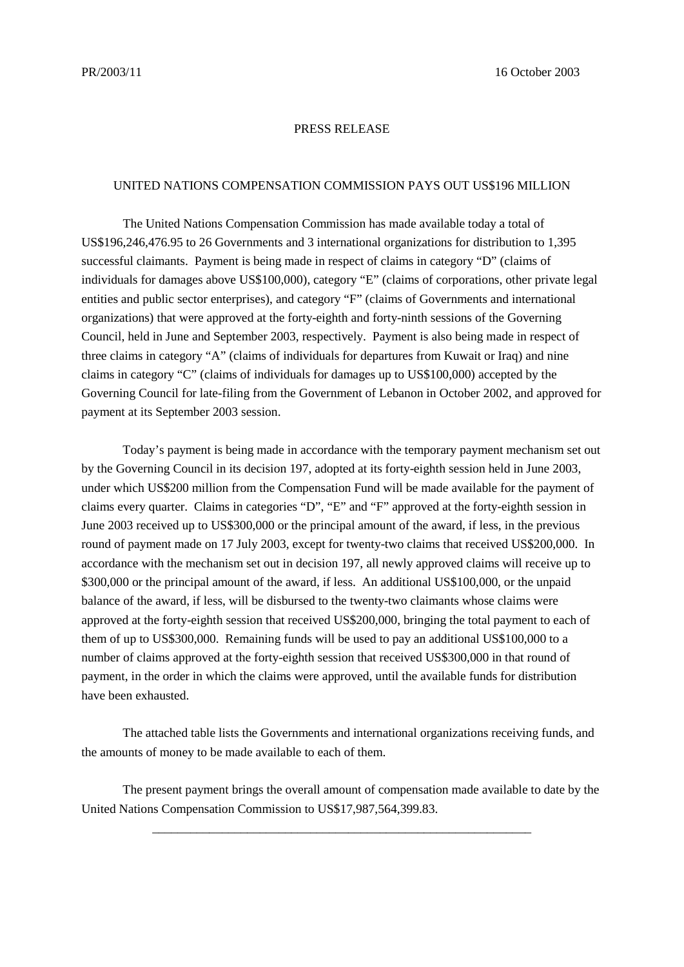## PRESS RELEASE

## UNITED NATIONS COMPENSATION COMMISSION PAYS OUT US\$196 MILLION

The United Nations Compensation Commission has made available today a total of US\$196,246,476.95 to 26 Governments and 3 international organizations for distribution to 1,395 successful claimants. Payment is being made in respect of claims in category "D" (claims of individuals for damages above US\$100,000), category "E" (claims of corporations, other private legal entities and public sector enterprises), and category "F" (claims of Governments and international organizations) that were approved at the forty-eighth and forty-ninth sessions of the Governing Council, held in June and September 2003, respectively.Payment is also being made in respect of three claims in category "A" (claims of individuals for departures from Kuwait or Iraq) and nine claims in category "C" (claims of individuals for damages up to US\$100,000) accepted by the Governing Council for late-filing from the Government of Lebanon in October 2002, and approved for payment at its September 2003 session.

Today's payment is being made in accordance with the temporary payment mechanism set out by the Governing Council in its decision 197, adopted at its forty-eighth session held in June 2003, under which US\$200 million from the Compensation Fund will be made available for the payment of claims every quarter. Claims in categories "D", "E" and "F" approved at the forty-eighth session in June 2003 received up to US\$300,000 or the principal amount of the award, if less, in the previous round of payment made on 17 July 2003, except for twenty-two claims that received US\$200,000. In accordance with the mechanism set out in decision 197, all newly approved claims will receive up to \$300,000 or the principal amount of the award, if less. An additional US\$100,000, or the unpaid balance of the award, if less, will be disbursed to the twenty-two claimants whose claims were approved at the forty-eighth session that received US\$200,000, bringing the total payment to each of them of up to US\$300,000. Remaining funds will be used to pay an additional US\$100,000 to a number of claims approved at the forty-eighth session that received US\$300,000 in that round of payment, in the order in which the claims were approved, until the available funds for distribution have been exhausted.

The attached table lists the Governments and international organizations receiving funds, and the amounts of money to be made available to each of them.

The present payment brings the overall amount of compensation made available to date by the United Nations Compensation Commission to US\$17,987,564,399.83.

\_\_\_\_\_\_\_\_\_\_\_\_\_\_\_\_\_\_\_\_\_\_\_\_\_\_\_\_\_\_\_\_\_\_\_\_\_\_\_\_\_\_\_\_\_\_\_\_\_\_\_\_\_\_\_\_\_\_\_\_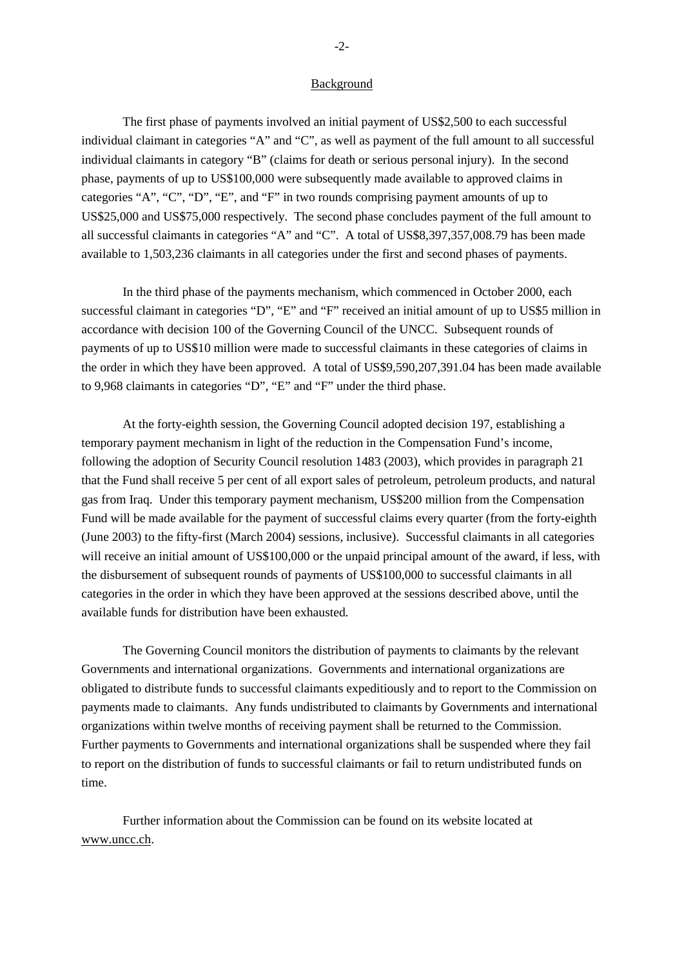## Background

The first phase of payments involved an initial payment of US\$2,500 to each successful individual claimant in categories "A" and "C", as well as payment of the full amount to all successful individual claimants in category "B" (claims for death or serious personal injury). In the second phase, payments of up to US\$100,000 were subsequently made available to approved claims in categories "A", "C", "D", "E", and "F" in two rounds comprising payment amounts of up to US\$25,000 and US\$75,000 respectively. The second phase concludes payment of the full amount to all successful claimants in categories "A" and "C". A total of US\$8,397,357,008.79 has been made available to 1,503,236 claimants in all categories under the first and second phases of payments.

In the third phase of the payments mechanism, which commenced in October 2000, each successful claimant in categories "D", "E" and "F" received an initial amount of up to US\$5 million in accordance with decision 100 of the Governing Council of the UNCC. Subsequent rounds of payments of up to US\$10 million were made to successful claimants in these categories of claims in the order in which they have been approved. A total of US\$9,590,207,391.04 has been made available to 9,968 claimants in categories "D", "E" and "F" under the third phase.

At the forty-eighth session, the Governing Council adopted decision 197, establishing a temporary payment mechanism in light of the reduction in the Compensation Fund's income, following the adoption of Security Council resolution 1483 (2003), which provides in paragraph 21 that the Fund shall receive 5 per cent of all export sales of petroleum, petroleum products, and natural gas from Iraq. Under this temporary payment mechanism, US\$200 million from the Compensation Fund will be made available for the payment of successful claims every quarter (from the forty-eighth (June 2003) to the fifty-first (March 2004) sessions, inclusive). Successful claimants in all categories will receive an initial amount of US\$100,000 or the unpaid principal amount of the award, if less, with the disbursement of subsequent rounds of payments of US\$100,000 to successful claimants in all categories in the order in which they have been approved at the sessions described above, until the available funds for distribution have been exhausted.

The Governing Council monitors the distribution of payments to claimants by the relevant Governments and international organizations. Governments and international organizations are obligated to distribute funds to successful claimants expeditiously and to report to the Commission on payments made to claimants. Any funds undistributed to claimants by Governments and international organizations within twelve months of receiving payment shall be returned to the Commission. Further payments to Governments and international organizations shall be suspended where they fail to report on the distribution of funds to successful claimants or fail to return undistributed funds on time.

Further information about the Commission can be found on its website located at www.uncc.ch.